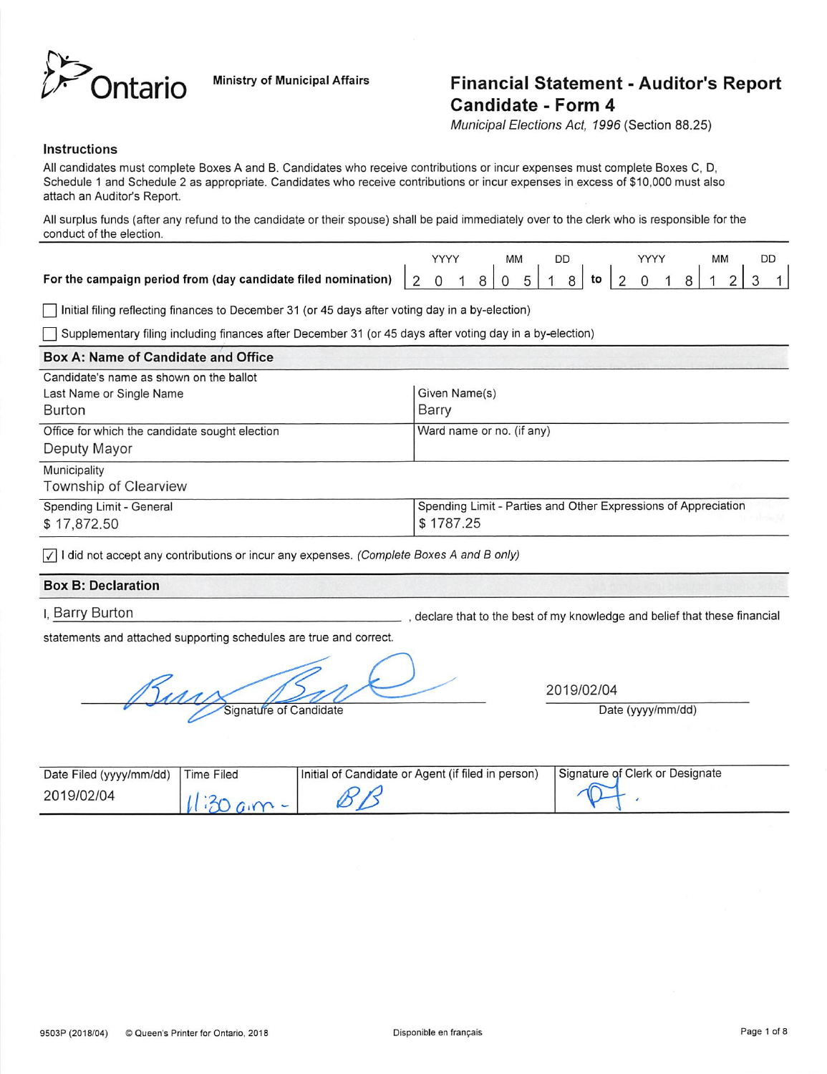

## Ontario Ministry of Municipal Affairs Financial Statement - Auditor's Report Candidate - Form 4

Municipal Elections Act, 1996 (Section 88.25)

#### Instructions

All candidates must complete Boxes A and B. Candidates who receive contributions or incur expenses must complete Boxes C, D, Schedule 1 and Schedule 2 as appropriate. Candidates who receive contributions or incur expenses in excess of \$10,000 must also attach an Auditor's Report.

All surplus funds (after any refund to the candidate or their spouse) shall be paid immediately over to the clerk who is responsible for the conduct of the election.

|  |  | МM |  |  |  |  | MM | DD |  |
|--|--|----|--|--|--|--|----|----|--|
|  |  |    |  |  |  |  |    |    |  |

r~l Initial filing reflecting finances to December 31 (or 45 days after voting day in a by-election)

Supplementary filing including finances after December 31 (or 45 days after voting day in a by-election)

| <b>Box A: Name of Candidate and Office</b>     |                                                                |
|------------------------------------------------|----------------------------------------------------------------|
| Candidate's name as shown on the ballot        |                                                                |
| Last Name or Single Name                       | Given Name(s)                                                  |
| Burton                                         | Barry                                                          |
| Office for which the candidate sought election | Ward name or no. (if any)                                      |
| Deputy Mayor                                   |                                                                |
| Municipality                                   |                                                                |
| Township of Clearview                          |                                                                |
| Spending Limit - General                       | Spending Limit - Parties and Other Expressions of Appreciation |
| \$17,872.50                                    | \$1787.25                                                      |

 $\sqrt{\sqrt{1}}$  I did not accept any contributions or incur any expenses. (Complete Boxes A and B only)

### Box B: Declaration

I, Barry Burton

, declare that to the best of my knowledge and belief that these financial

statements and attached supporting schedules are true and correct.

Sully Signature of Candidate

2019/02/04

Date (yyyy/mm/dd)

| Date Filed (yyyy/mm/dd) | Time Filed | Initial of Candidate or Agent (if filed in person) | Signature of Clerk or Designate |
|-------------------------|------------|----------------------------------------------------|---------------------------------|
| 2019/02/04              |            |                                                    |                                 |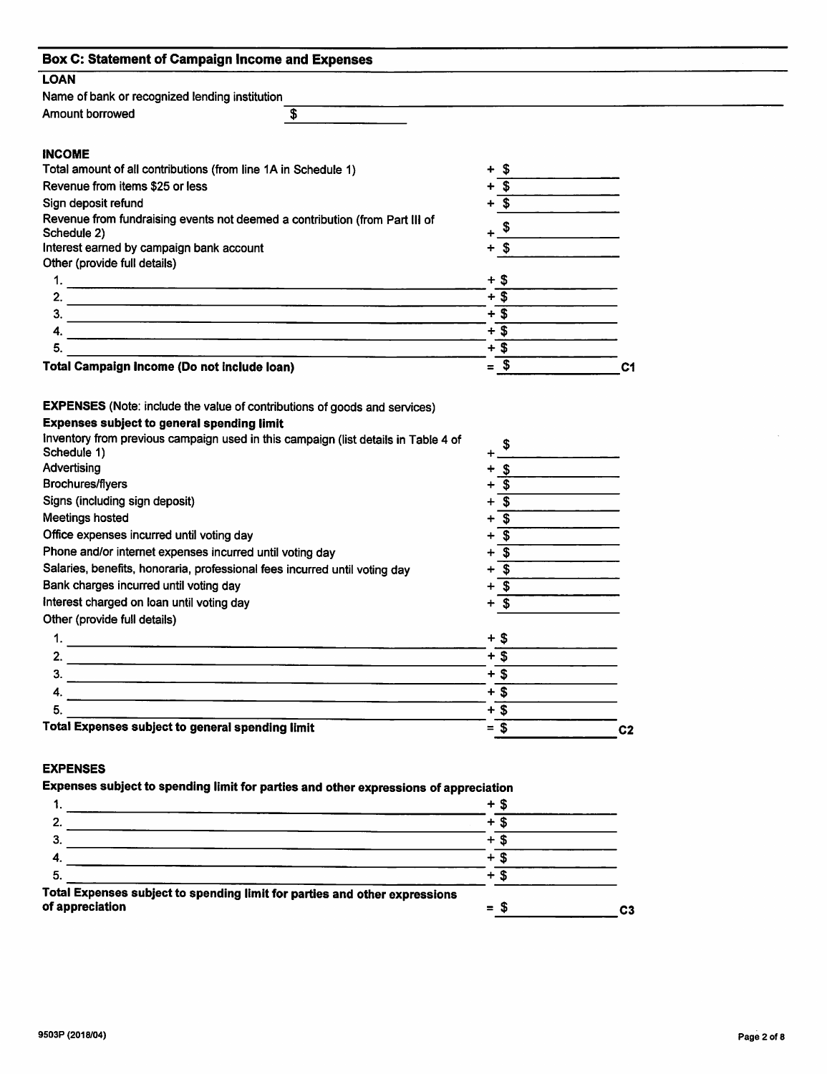| <b>Box C: Statement of Campaign Income and Expenses</b>                                                                                                                                              |                                                                                                                        |                |
|------------------------------------------------------------------------------------------------------------------------------------------------------------------------------------------------------|------------------------------------------------------------------------------------------------------------------------|----------------|
| <b>LOAN</b>                                                                                                                                                                                          |                                                                                                                        |                |
| Name of bank or recognized lending institution                                                                                                                                                       |                                                                                                                        |                |
| $\overline{\mathbf{r}}$<br>Amount borrowed                                                                                                                                                           |                                                                                                                        |                |
|                                                                                                                                                                                                      |                                                                                                                        |                |
| <b>INCOME</b>                                                                                                                                                                                        |                                                                                                                        |                |
| Total amount of all contributions (from line 1A in Schedule 1)                                                                                                                                       | -\$                                                                                                                    |                |
| Revenue from items \$25 or less                                                                                                                                                                      | $\overline{\mathbf{s}}$                                                                                                |                |
| Sign deposit refund                                                                                                                                                                                  | $+\overline{\$}$                                                                                                       |                |
| Revenue from fundraising events not deemed a contribution (from Part III of                                                                                                                          |                                                                                                                        |                |
| Schedule 2)                                                                                                                                                                                          | $+$ \$                                                                                                                 |                |
| Interest earned by campaign bank account                                                                                                                                                             | + \$                                                                                                                   |                |
| Other (provide full details)                                                                                                                                                                         |                                                                                                                        |                |
|                                                                                                                                                                                                      | $+$ \$                                                                                                                 |                |
| 2.                                                                                                                                                                                                   | $+\overline{\$}$                                                                                                       |                |
| З.                                                                                                                                                                                                   | $+3$                                                                                                                   |                |
| 4.                                                                                                                                                                                                   | $+$ \$                                                                                                                 |                |
| 5.<br><u> 1989 - Johann John Stein, mars an deutscher Stein und der Stein und der Stein und der Stein und der Stein und</u>                                                                          | $+$ \$                                                                                                                 |                |
| <b>Total Campaign Income (Do not include loan)</b>                                                                                                                                                   | $=$ \$                                                                                                                 | C <sub>1</sub> |
| Advertising<br>Brochures/flyers<br>Signs (including sign deposit)<br><b>Meetings hosted</b><br>Office expenses incurred until voting day<br>Phone and/or internet expenses incurred until voting day | $\sqrt{3}$<br>-\$<br>$\overline{\mathbf{s}}$<br>+<br>$+$ \$<br>$\overline{\mathbf{3}}$<br>$\overline{\mathbf{s}}$<br>+ |                |
| Salaries, benefits, honoraria, professional fees incurred until voting day                                                                                                                           | $+$ \$                                                                                                                 |                |
| Bank charges incurred until voting day                                                                                                                                                               | $+$ \$                                                                                                                 |                |
| Interest charged on loan until voting day                                                                                                                                                            | $\mathbf{\hat{s}}$                                                                                                     |                |
| Other (provide full details)                                                                                                                                                                         |                                                                                                                        |                |
| 1.                                                                                                                                                                                                   | $+$ \$                                                                                                                 |                |
| 2.<br><u> De la contrada de la contrada de la contrada de la contrada de la contrada de la contrada de la contrada de</u>                                                                            | $+$ \$                                                                                                                 |                |
| 3.                                                                                                                                                                                                   | $+$ \$                                                                                                                 |                |
| 4.                                                                                                                                                                                                   | $+\overline{\$}$                                                                                                       |                |
| 5.                                                                                                                                                                                                   | $+\overline{\$}$                                                                                                       |                |
| <b>Total Expenses subject to general spending limit</b>                                                                                                                                              | $= $$                                                                                                                  | C <sub>2</sub> |
|                                                                                                                                                                                                      |                                                                                                                        |                |
| <b>EXPENSES</b>                                                                                                                                                                                      |                                                                                                                        |                |
| Expenses subject to spending limit for parties and other expressions of appreciation                                                                                                                 |                                                                                                                        |                |
| 1.<br><u> 1980 - Johann John Harry Harry Harry Harry Harry Harry Harry Harry Harry Harry Harry Harry Harry Harry Harry</u>                                                                           | $+$ \$                                                                                                                 |                |
| 2.                                                                                                                                                                                                   | $+\overline{\$}$                                                                                                       |                |

| Total Expenses subject to spending limit for parties and other expressions<br>of appreciation | $\equiv$ | л | C3 |
|-----------------------------------------------------------------------------------------------|----------|---|----|
|                                                                                               |          |   |    |
|                                                                                               |          |   |    |
|                                                                                               |          |   |    |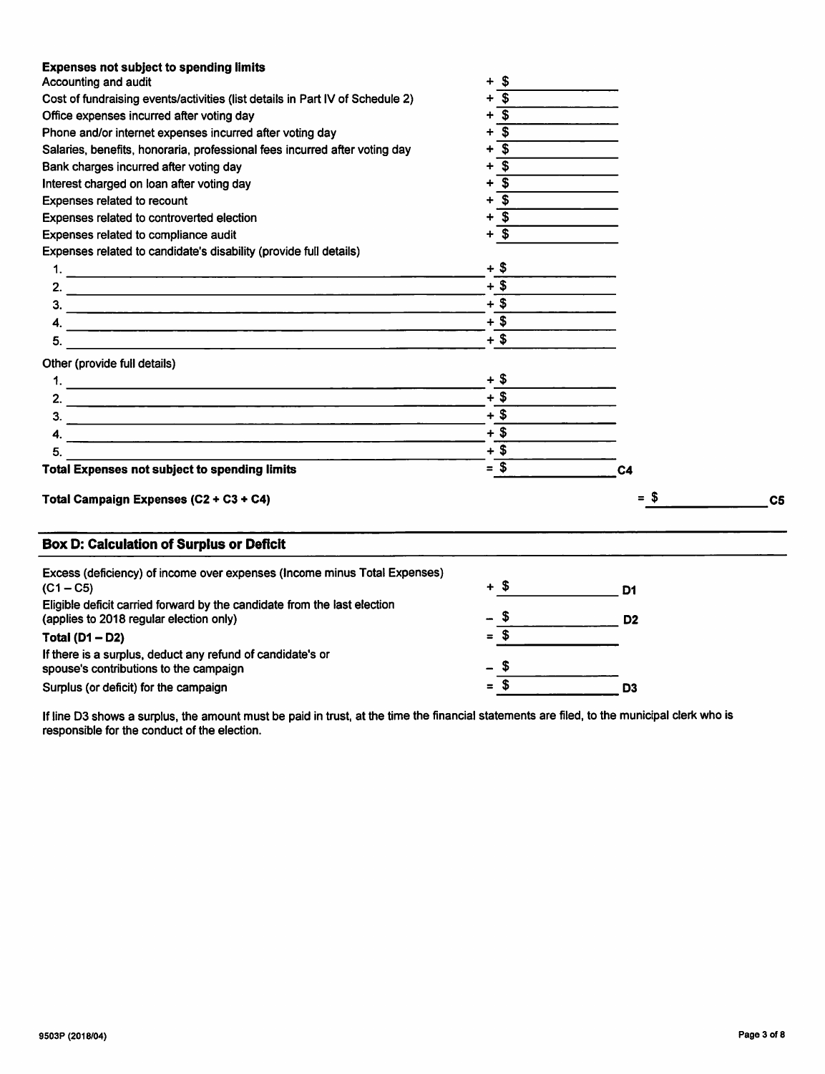| <b>Expenses not subject to spending limits</b>                                                                      |                           |                |                |
|---------------------------------------------------------------------------------------------------------------------|---------------------------|----------------|----------------|
| Accounting and audit                                                                                                | - \$<br>÷                 |                |                |
| Cost of fundraising events/activities (list details in Part IV of Schedule 2)                                       | $\overline{\mathbf{s}}$   |                |                |
| Office expenses incurred after voting day                                                                           | <b>S</b>                  |                |                |
| Phone and/or internet expenses incurred after voting day                                                            | $\overline{\mathbf{s}}$   |                |                |
| Salaries, benefits, honoraria, professional fees incurred after voting day                                          | \$                        |                |                |
| Bank charges incurred after voting day                                                                              | \$                        |                |                |
| Interest charged on loan after voting day                                                                           | $\boldsymbol{s}$          |                |                |
| Expenses related to recount                                                                                         | $\overline{\mathbf{s}}$   |                |                |
| Expenses related to controverted election                                                                           | \$                        |                |                |
| Expenses related to compliance audit                                                                                | $\boldsymbol{\mathsf{s}}$ |                |                |
| Expenses related to candidate's disability (provide full details)                                                   |                           |                |                |
|                                                                                                                     | $+$ \$                    |                |                |
|                                                                                                                     | $+$ \$                    |                |                |
| 3.                                                                                                                  | $+$ \$                    |                |                |
|                                                                                                                     | $+$ \$                    |                |                |
|                                                                                                                     | $+$ \$                    |                |                |
| Other (provide full details)                                                                                        |                           |                |                |
|                                                                                                                     | + \$                      |                |                |
|                                                                                                                     | $+$ \$                    |                |                |
|                                                                                                                     | $+$ \$                    |                |                |
| 3.                                                                                                                  | $+$ \$                    |                |                |
| 4.                                                                                                                  |                           |                |                |
| 5.                                                                                                                  | $+$ \$                    |                |                |
| <b>Total Expenses not subject to spending limits</b>                                                                | $= $$                     | C <sub>4</sub> |                |
| Total Campaign Expenses (C2 + C3 + C4)                                                                              |                           | = \$           | C <sub>5</sub> |
| <b>Box D: Calculation of Surplus or Deficit</b>                                                                     |                           |                |                |
| Excess (deficiency) of income over expenses (Income minus Total Expenses)                                           | + \$                      |                |                |
| $(C1 - C5)$                                                                                                         |                           | D1             |                |
| Eligible deficit carried forward by the candidate from the last election<br>(applies to 2018 regular election only) |                           | D <sub>2</sub> |                |
| Total $(D1 - D2)$                                                                                                   | \$                        |                |                |
| If there is a surplus, deduct any refund of candidate's or                                                          |                           |                |                |
| spouse's contributions to the campaign                                                                              | S                         |                |                |
| Surplus (or deficit) for the campaign                                                                               | $=$ \$                    | D <sub>3</sub> |                |

If line D3 shows a surplus, the amount must be paid in trust, at the time the financial statements are filed, to the municipal clerk who is responsible for the conduct of the election.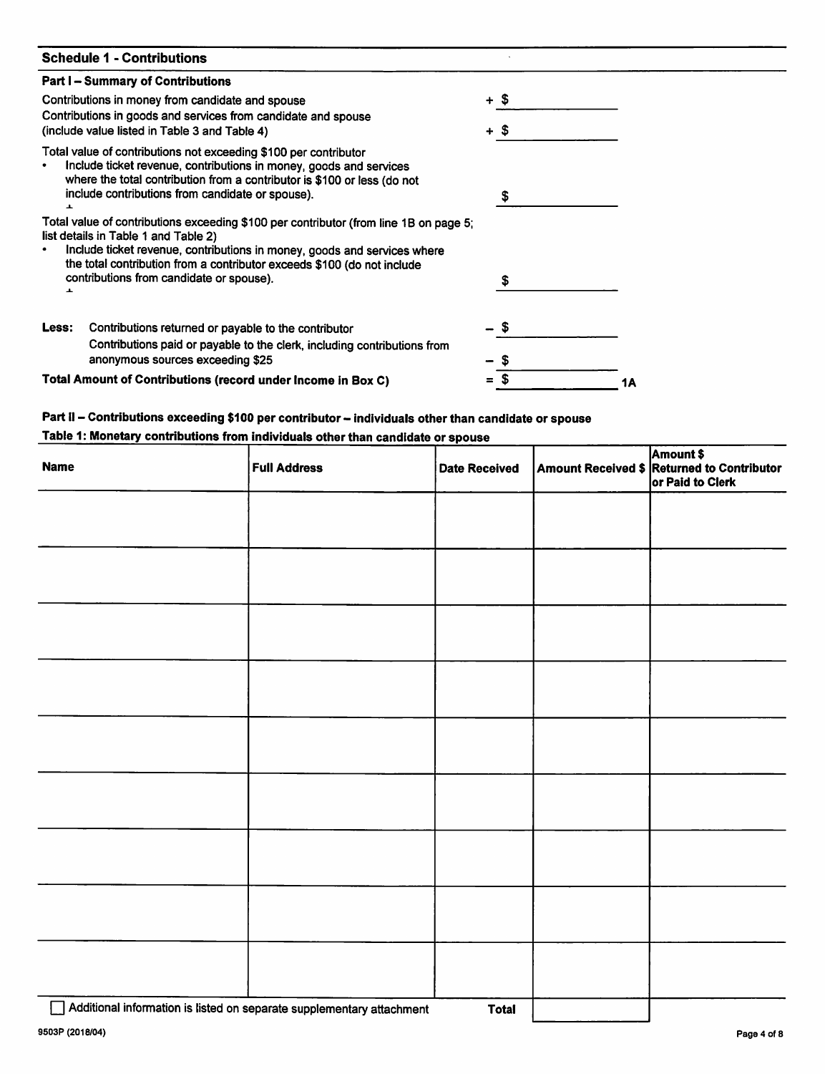| <b>Schedule 1 - Contributions</b>                                                                                                                                                                                                                                                    |   |        |    |
|--------------------------------------------------------------------------------------------------------------------------------------------------------------------------------------------------------------------------------------------------------------------------------------|---|--------|----|
| <b>Part I – Summary of Contributions</b>                                                                                                                                                                                                                                             |   |        |    |
| Contributions in money from candidate and spouse                                                                                                                                                                                                                                     |   | $+$ \$ |    |
| Contributions in goods and services from candidate and spouse<br>(include value listed in Table 3 and Table 4)                                                                                                                                                                       |   | $+$ \$ |    |
| Total value of contributions not exceeding \$100 per contributor<br>Include ticket revenue, contributions in money, goods and services<br>where the total contribution from a contributor is \$100 or less (do not<br>include contributions from candidate or spouse).<br>ᆂ          |   | \$     |    |
| Total value of contributions exceeding \$100 per contributor (from line 1B on page 5;<br>list details in Table 1 and Table 2)<br>Include ticket revenue, contributions in money, goods and services where<br>the total contribution from a contributor exceeds \$100 (do not include |   |        |    |
| contributions from candidate or spouse).<br>ᆂ                                                                                                                                                                                                                                        |   | S      |    |
| Contributions returned or payable to the contributor<br>Less:<br>Contributions paid or payable to the clerk, including contributions from                                                                                                                                            |   | 55     |    |
| anonymous sources exceeding \$25                                                                                                                                                                                                                                                     |   |        |    |
| Total Amount of Contributions (record under Income in Box C)                                                                                                                                                                                                                         | = |        | 1Α |

# Part II – Contributions exceeding \$100 per contributor – individuals other than candidate or spouse<br>Table 1: Monetary contributions from individuals other than candidate or spouse

| <b>Name</b> | <b>Full Address</b> | <b>Date Received</b> | Amount \$<br>Amount Received \$ Returned to Contributor<br>or Paid to Clerk |
|-------------|---------------------|----------------------|-----------------------------------------------------------------------------|
|             |                     |                      |                                                                             |
|             |                     |                      |                                                                             |
|             |                     |                      |                                                                             |
|             |                     |                      |                                                                             |
|             |                     |                      |                                                                             |
|             |                     |                      |                                                                             |
|             |                     |                      |                                                                             |
|             |                     |                      |                                                                             |
|             |                     |                      |                                                                             |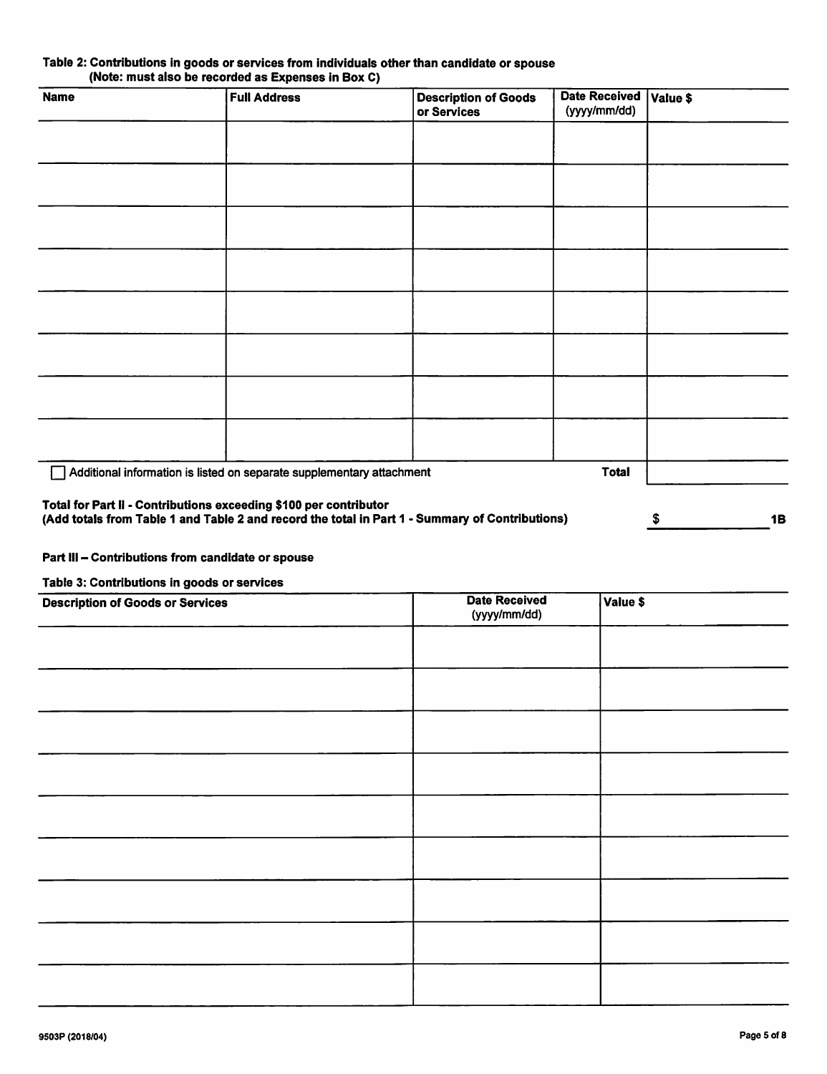| Table 2: Contributions in goods or services from individuals other than candidate or spouse |                                                    |  |  |
|---------------------------------------------------------------------------------------------|----------------------------------------------------|--|--|
|                                                                                             | (Note: must also be recorded as Expenses in Box C) |  |  |

| <b>Name</b> | <b>Full Address</b>                                                   | <b>Description of Goods</b><br>or Services                                                      | <b>Date Received</b><br>(yyyy/mm/dd) | Value \$        |
|-------------|-----------------------------------------------------------------------|-------------------------------------------------------------------------------------------------|--------------------------------------|-----------------|
|             |                                                                       |                                                                                                 |                                      |                 |
|             |                                                                       |                                                                                                 |                                      |                 |
|             |                                                                       |                                                                                                 |                                      |                 |
|             |                                                                       |                                                                                                 |                                      |                 |
|             |                                                                       |                                                                                                 |                                      |                 |
|             |                                                                       |                                                                                                 |                                      |                 |
|             |                                                                       |                                                                                                 |                                      |                 |
|             |                                                                       |                                                                                                 |                                      |                 |
|             | Additional information is listed on separate supplementary attachment |                                                                                                 | <b>Total</b>                         |                 |
|             | Total for Part II - Contributions exceeding \$100 per contributor     | (Add totals from Table 1 and Table 2 and record the total in Part 1 - Summary of Contributions) |                                      | <b>1B</b><br>\$ |

#### Part III - Contributions from candidate or spouse

Table 3: Contributions in goods or services

| <b>Description of Goods or Services</b> | <b>Date Received</b><br>(yyyy/mm/dd) | Value \$ |
|-----------------------------------------|--------------------------------------|----------|
|                                         |                                      |          |
|                                         |                                      |          |
|                                         |                                      |          |
|                                         |                                      |          |
|                                         |                                      |          |
|                                         |                                      |          |
|                                         |                                      |          |
|                                         |                                      |          |
|                                         |                                      |          |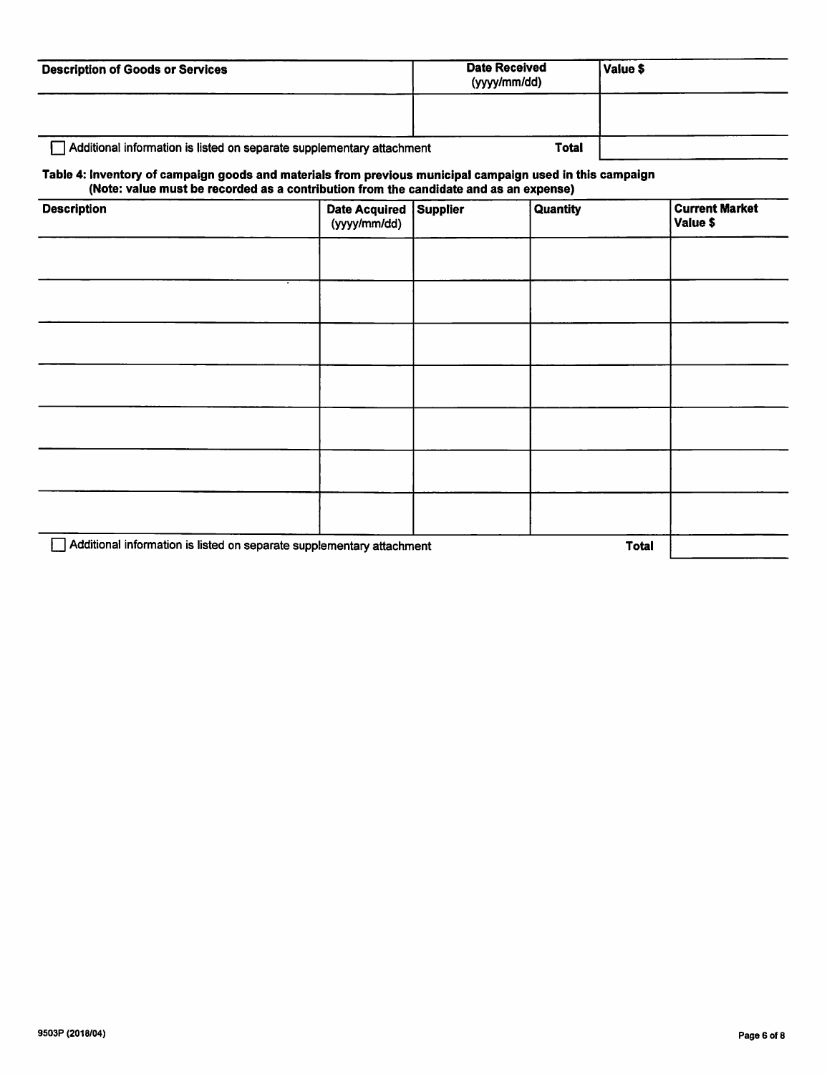| <b>Description of Goods or Services</b>                                                                                                                                                            |                                      |                 | <b>Date Received</b><br>(yyyy/mm/dd) | Value \$     |                                   |
|----------------------------------------------------------------------------------------------------------------------------------------------------------------------------------------------------|--------------------------------------|-----------------|--------------------------------------|--------------|-----------------------------------|
| Additional information is listed on separate supplementary attachment                                                                                                                              |                                      |                 | <b>Total</b>                         |              |                                   |
| Table 4: Inventory of campaign goods and materials from previous municipal campaign used in this campaign<br>(Note: value must be recorded as a contribution from the candidate and as an expense) |                                      |                 |                                      |              |                                   |
| <b>Description</b>                                                                                                                                                                                 | <b>Date Acquired</b><br>(yyyy/mm/dd) | <b>Supplier</b> | Quantity                             |              | <b>Current Market</b><br>Value \$ |
|                                                                                                                                                                                                    |                                      |                 |                                      |              |                                   |
|                                                                                                                                                                                                    |                                      |                 |                                      |              |                                   |
|                                                                                                                                                                                                    |                                      |                 |                                      |              |                                   |
|                                                                                                                                                                                                    |                                      |                 |                                      |              |                                   |
|                                                                                                                                                                                                    |                                      |                 |                                      |              |                                   |
|                                                                                                                                                                                                    |                                      |                 |                                      |              |                                   |
|                                                                                                                                                                                                    |                                      |                 |                                      |              |                                   |
| Additional information is listed on separate supplementary attachment                                                                                                                              |                                      |                 |                                      | <b>Total</b> |                                   |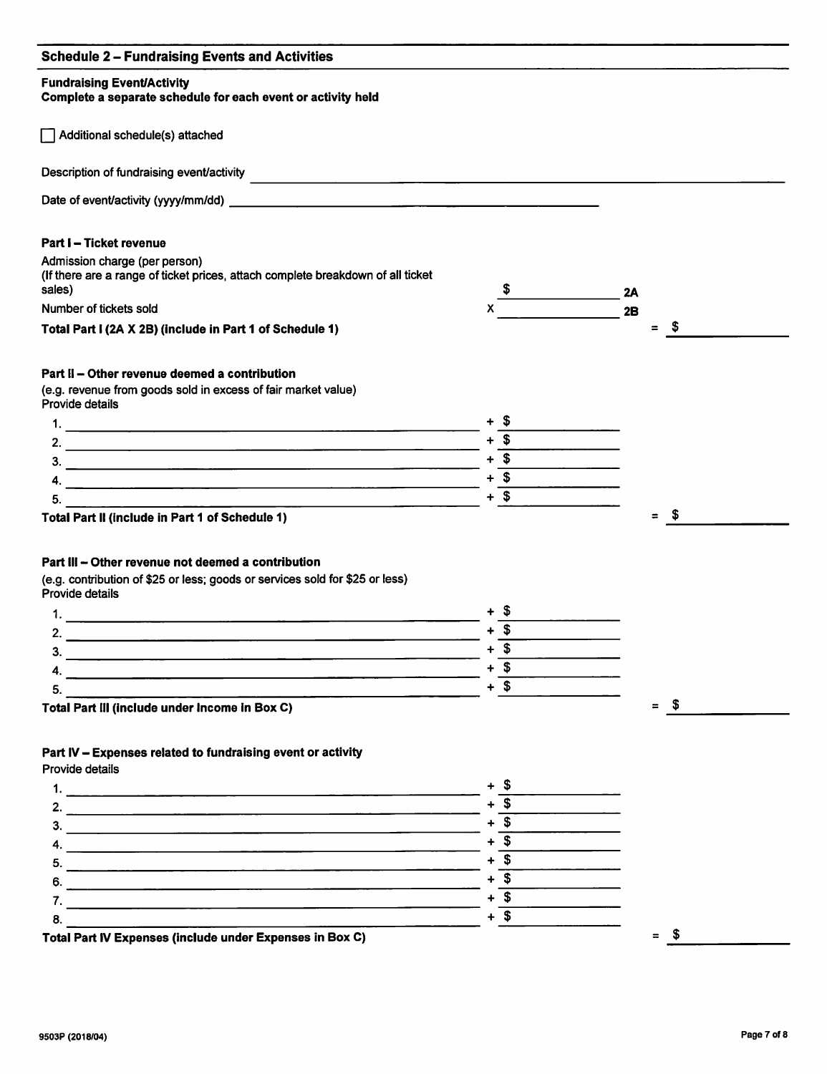#### Schedule 2 - Fundralsing Events and Activities

#### Fundraising Event/Activity

Complete a separate schedule for each event or activity held

r~| Additional schedule(s) attached

Description of fundraising event/activity

Date of event/activity (yyyy/mm/dd)

#### Part I - Ticket revenue

| Admission charge (per person)                                                   |                  |  |
|---------------------------------------------------------------------------------|------------------|--|
| (If there are a range of ticket prices, attach complete breakdown of all ticket |                  |  |
| sales)                                                                          | 2Α               |  |
| Number of tickets sold                                                          |                  |  |
| Total Part I (2A X 2B) (include in Part 1 of Schedule 1)                        | $\equiv$<br>- 35 |  |

Total Part 1 (2A X 2B) (include in Part 1 of Schedule 1)

#### Part II - Other revenue deemed a contribution

(e.g. revenue from goods sold in excess of fair market value) Provide details

Total Part II (include in Part 1 of Schedule 1)

#### Part III - Other revenue not deemed a contribution

(e.g. contribution of \$25 or less; goods or services sold for \$25 or less) Provide details

| ວ                                                |  |
|--------------------------------------------------|--|
| _ _<br>$\sim$ $\sim$ $\sim$ $\sim$ $\sim$ $\sim$ |  |

Total Part ill (include under Income in Box C)

#### Part IV - Expenses related to fundraising event or activity

Provide details

 $\frac{1}{2}$   $\frac{+ 5}{1}$   $\frac{+ 5}{1}$ 2. + \$  $3.$  $4. \frac{1}{5} + \frac{1}{5}$  $\frac{5}{2}$  +  $\frac{5}{3}$  +  $\frac{5}{3}$  +  $\frac{1}{3}$  +  $\frac{5}{3}$  +  $\frac{1}{3}$  +  $\frac{5}{3}$  +  $\frac{1}{3}$  +  $\frac{1}{3}$  +  $\frac{1}{3}$  +  $\frac{1}{3}$  +  $\frac{1}{3}$  +  $\frac{1}{3}$  +  $\frac{1}{3}$  +  $\frac{1}{3}$  +  $\frac{1}{3}$  +  $\frac{1}{3}$  +  $\frac{1}{3}$  +  $\frac{1$ 6.  $+$  \$  $7. + $$  $8.$  + \$  $\frac{8.}{\frac{1}{100}} + \frac{1}{\frac{1}{100}} + \frac{1}{\frac{1}{100}} = \frac{1}{100}$ 

= \$

 $=$  \$